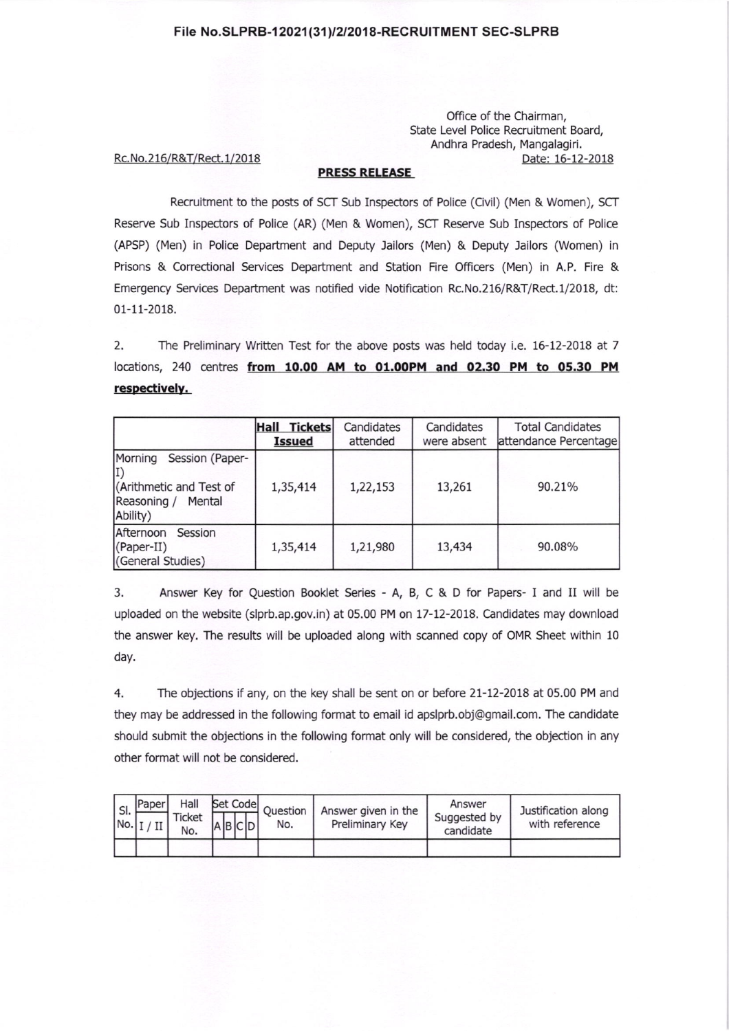## File No.SLPRB-12021(31)/2/2018-RECRUITMENT SEC-SLPRB

Office of the Chairman, State Level Police Recruitment Board, Andhra Pradesh, Mangalagiri. Date: 16-12-2018

## Rc. No. 216/R&T/Rect. 1/2018

## PRESS RELEASE

Recruitment to the posts of SCT Sub Inspectors of Police (Civil) (Men & Women), SCT Reserve Sub Inspectors of Police (AR) (Men & Women), SCT Reserve Sub Inspectors of Police (APSP) (Men) in Police Department and Deputy Jailors (Men) & Deputy Jailors (Women) in Prisons & Correctional Services Department and Station Fire Officers (Men) in A.P. Fire & Emergency Services Department was notified vide Notification Rc.No.216/R&T/Rect.1/2018, dt: 01-11-2018.

2. The Preliminary Written Test for the above posts was held today i.e. 16-12-2018 at <sup>7</sup> locations, 240 centres from 10.00 AM to 01.00PM and 02.30 PM to 05.30 PM respectively.

|                                                                                            | <b>Tickets</b><br>Hall<br><b>Issued</b> | Candidates<br>attended | Candidates<br>were absent | <b>Total Candidates</b><br>attendance Percentage |
|--------------------------------------------------------------------------------------------|-----------------------------------------|------------------------|---------------------------|--------------------------------------------------|
| Morning<br>Session (Paper-<br>(Arithmetic and Test of<br>Reasoning /<br>Mental<br>Ability) | 1,35,414                                | 1,22,153               | 13,261                    | 90.21%                                           |
| Afternoon<br>Session<br>$(Caper-II)$<br>(General Studies)                                  | 1,35,414                                | 1,21,980               | 13,434                    | 90.08%                                           |

3. Answer Key for Question Booklet Series - A, B, C & D for Papers- I and II will be uploaded on the website (slprb.ap.gov.in) at 05.00 PM on 17-12-2018. Candidates may download the answer key, The results will be uploaded along with scanned copy of OMR Sheet within 10 day.

4. The objections if any, on the key shall be sent on or before 21-12-2018 at 05.00 PM and they may be addressed in the following format to email id apslprb.obj@gmail.com. The candidate should submit the objections in the following format only will be considered, the objection in any other format will not be considered.

| I SI. | Paper<br>$\lfloor No. \rfloor$ $\lfloor$ $\rfloor$ $\lfloor$ $\lfloor$ | Hall<br>Ticket<br>No. | Set Code<br>$A$ $B$ $C$ $D'$ | Question<br>No. | Answer given in the<br>Preliminary Key | Answer<br>Suggested by<br>candidate | Justification along<br>with reference |
|-------|------------------------------------------------------------------------|-----------------------|------------------------------|-----------------|----------------------------------------|-------------------------------------|---------------------------------------|
|       |                                                                        |                       |                              |                 |                                        |                                     |                                       |